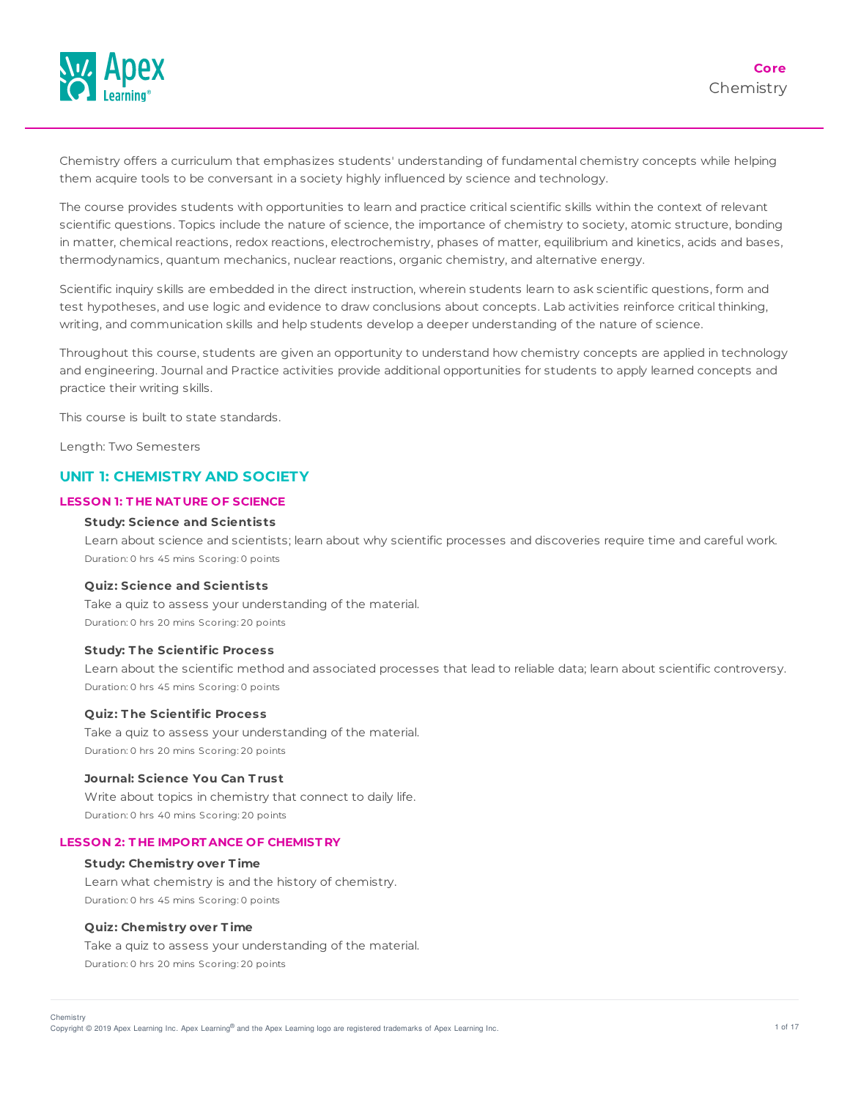

Chemistry offers a curriculum that emphasizes students' understanding of fundamental chemistry concepts while helping them acquire tools to be conversant in a society highly influenced by science and technology.

The course provides students with opportunities to learn and practice critical scientific skills within the context of relevant scientific questions. Topics include the nature of science, the importance of chemistry to society, atomic structure, bonding in matter, chemical reactions, redox reactions, electrochemistry, phases of matter, equilibrium and kinetics, acids and bases, thermodynamics, quantum mechanics, nuclear reactions, organic chemistry, and alternative energy.

Scientific inquiry skills are embedded in the direct instruction, wherein students learn to ask scientific questions, form and test hypotheses, and use logic and evidence to draw conclusions about concepts. Lab activities reinforce critical thinking, writing, and communication skills and help students develop a deeper understanding of the nature of science.

Throughout this course, students are given an opportunity to understand how chemistry concepts are applied in technology and engineering. Journal and Practice activities provide additional opportunities for students to apply learned concepts and practice their writing skills.

This course is built to state standards.

Length: Two Semesters

# **UNIT 1: CHEMISTRY AND SOCIETY**

# **LESSON 1: T HE NAT URE OF SCIENCE**

#### **Study: Science and Scientists**

Learn about science and scientists; learn about why scientific processes and discoveries require time and careful work. Duration: 0 hrs 45 mins Scoring: 0 points

## **Quiz: Science and Scientists**

Take a quiz to assess your understanding of the material. Duration: 0 hrs 20 mins Scoring: 20 points

## **Study: T he Scientific Process**

Learn about the scientific method and associated processes that lead to reliable data; learn about scientific controversy. Duration: 0 hrs 45 mins Scoring: 0 points

#### **Quiz: T he Scientific Process**

Take a quiz to assess your understanding of the material. Duration: 0 hrs 20 mins Scoring: 20 points

# **Journal: Science You Can T rust**

Write about topics in chemistry that connect to daily life. Duration: 0 hrs 40 mins Scoring: 20 points

#### **LESSON 2: T HE IMPORT ANCE OF CHEMIST RY**

#### **Study: Chemistry over T ime**

Learn what chemistry is and the history of chemistry. Duration: 0 hrs 45 mins Scoring: 0 points

#### **Quiz: Chemistry over T ime**

Take a quiz to assess your understanding of the material. Duration: 0 hrs 20 mins Scoring: 20 points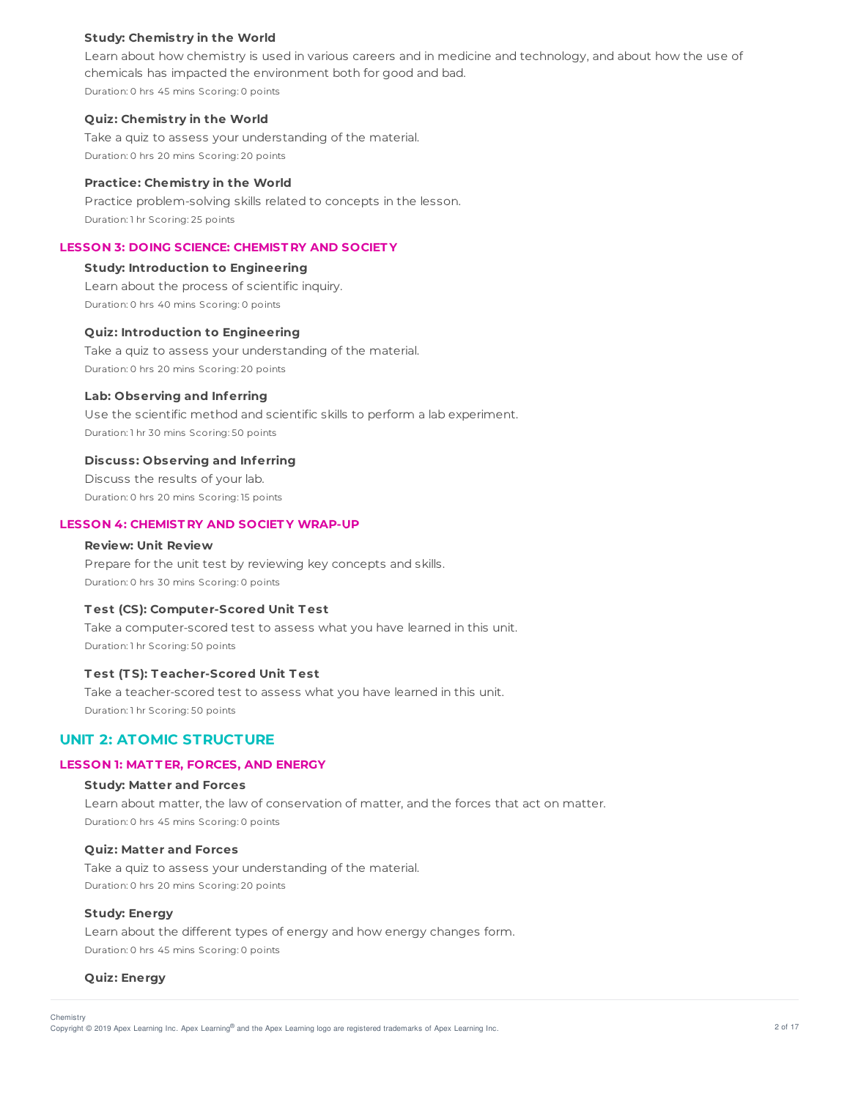## **Study: Chemistry in the World**

Learn about how chemistry is used in various careers and in medicine and technology, and about how the use of chemicals has impacted the environment both for good and bad. Duration: 0 hrs 45 mins Scoring: 0 points

#### **Quiz: Chemistry in the World**

Take a quiz to assess your understanding of the material. Duration: 0 hrs 20 mins Scoring: 20 points

# **Practice: Chemistry in the World**

Practice problem-solving skills related to concepts in the lesson. Duration: 1 hr Scoring: 25 points

# **LESSON 3: DOING SCIENCE: CHEMIST RY AND SOCIET Y**

#### **Study: Introduction to Engineering**

Learn about the process of scientific inquiry. Duration: 0 hrs 40 mins Scoring: 0 points

#### **Quiz: Introduction to Engineering**

Take a quiz to assess your understanding of the material. Duration: 0 hrs 20 mins Scoring: 20 points

#### **Lab: Observing and Inferring**

Use the scientific method and scientific skills to perform a lab experiment. Duration: 1 hr 30 mins Scoring: 50 points

#### **Discuss: Observing and Inferring**

Discuss the results of your lab. Duration: 0 hrs 20 mins Scoring: 15 points

## **LESSON 4: CHEMIST RY AND SOCIET Y WRAP-UP**

#### **Review: Unit Review**

Prepare for the unit test by reviewing key concepts and skills. Duration: 0 hrs 30 mins Scoring: 0 points

# **T est (CS): Computer-Scored Unit T est**

Take a computer-scored test to assess what you have learned in this unit. Duration: 1 hr Scoring: 50 points

# **T est (T S): T eacher-Scored Unit T est**

Take a teacher-scored test to assess what you have learned in this unit. Duration: 1 hr Scoring: 50 points

# **UNIT 2: ATOMIC STRUCTURE**

#### **LESSON 1: MAT T ER, FORCES, AND ENERGY**

# **Study: Matter and Forces**

Learn about matter, the law of conservation of matter, and the forces that act on matter. Duration: 0 hrs 45 mins Scoring: 0 points

#### **Quiz: Matter and Forces**

Take a quiz to assess your understanding of the material. Duration: 0 hrs 20 mins Scoring: 20 points

## **Study: Energy**

Learn about the different types of energy and how energy changes form. Duration: 0 hrs 45 mins Scoring: 0 points

## **Quiz: Energy**

Chemistry

Copyright © 2019 Apex Learning Inc. Apex Learning® and the Apex Learning logo are registered trademarks of Apex Learning Inc. <br>Copyright © 2019 Apex Learning Inc. Apex Learning® and the Apex Learning Iogo are registered tr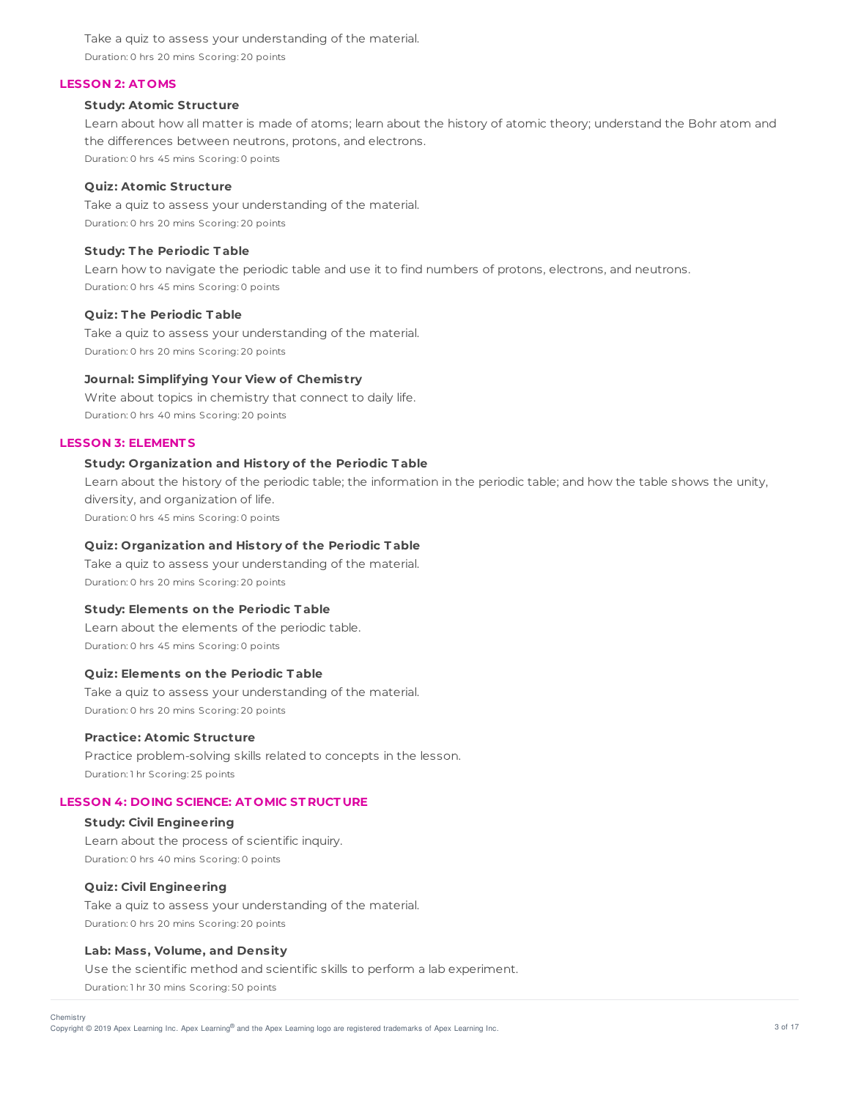Take a quiz to assess your understanding of the material. Duration: 0 hrs 20 mins Scoring: 20 points

#### **LESSON 2: AT OMS**

## **Study: Atomic Structure**

Learn about how all matter is made of atoms; learn about the history of atomic theory; understand the Bohr atom and the differences between neutrons, protons, and electrons. Duration: 0 hrs 45 mins Scoring: 0 points

# **Quiz: Atomic Structure**

Take a quiz to assess your understanding of the material. Duration: 0 hrs 20 mins Scoring: 20 points

# **Study: T he Periodic T able**

Learn how to navigate the periodic table and use it to find numbers of protons, electrons, and neutrons. Duration: 0 hrs 45 mins Scoring: 0 points

## **Quiz: T he Periodic T able**

Take a quiz to assess your understanding of the material. Duration: 0 hrs 20 mins Scoring: 20 points

# **Journal: Simplifying Your View of Chemistry**

Write about topics in chemistry that connect to daily life. Duration: 0 hrs 40 mins Scoring: 20 points

# **LESSON 3: ELEMENT S**

## **Study: Organization and History of the Periodic T able**

Learn about the history of the periodic table; the information in the periodic table; and how the table shows the unity, diversity, and organization of life.

Duration: 0 hrs 45 mins Scoring: 0 points

## **Quiz: Organization and History of the Periodic T able**

Take a quiz to assess your understanding of the material. Duration: 0 hrs 20 mins Scoring: 20 points

#### **Study: Elements on the Periodic T able**

Learn about the elements of the periodic table. Duration: 0 hrs 45 mins Scoring: 0 points

#### **Quiz: Elements on the Periodic T able**

Take a quiz to assess your understanding of the material. Duration: 0 hrs 20 mins Scoring: 20 points

# **Practice: Atomic Structure**

Practice problem-solving skills related to concepts in the lesson. Duration: 1 hr Scoring: 25 points

# **LESSON 4: DOING SCIENCE: AT OMIC ST RUCT URE**

**Study: Civil Engineering** Learn about the process of scientific inquiry. Duration: 0 hrs 40 mins Scoring: 0 points

#### **Quiz: Civil Engineering**

Take a quiz to assess your understanding of the material. Duration: 0 hrs 20 mins Scoring: 20 points

#### **Lab: Mass, Volume, and Density**

Use the scientific method and scientific skills to perform a lab experiment. Duration: 1 hr 30 mins Scoring: 50 points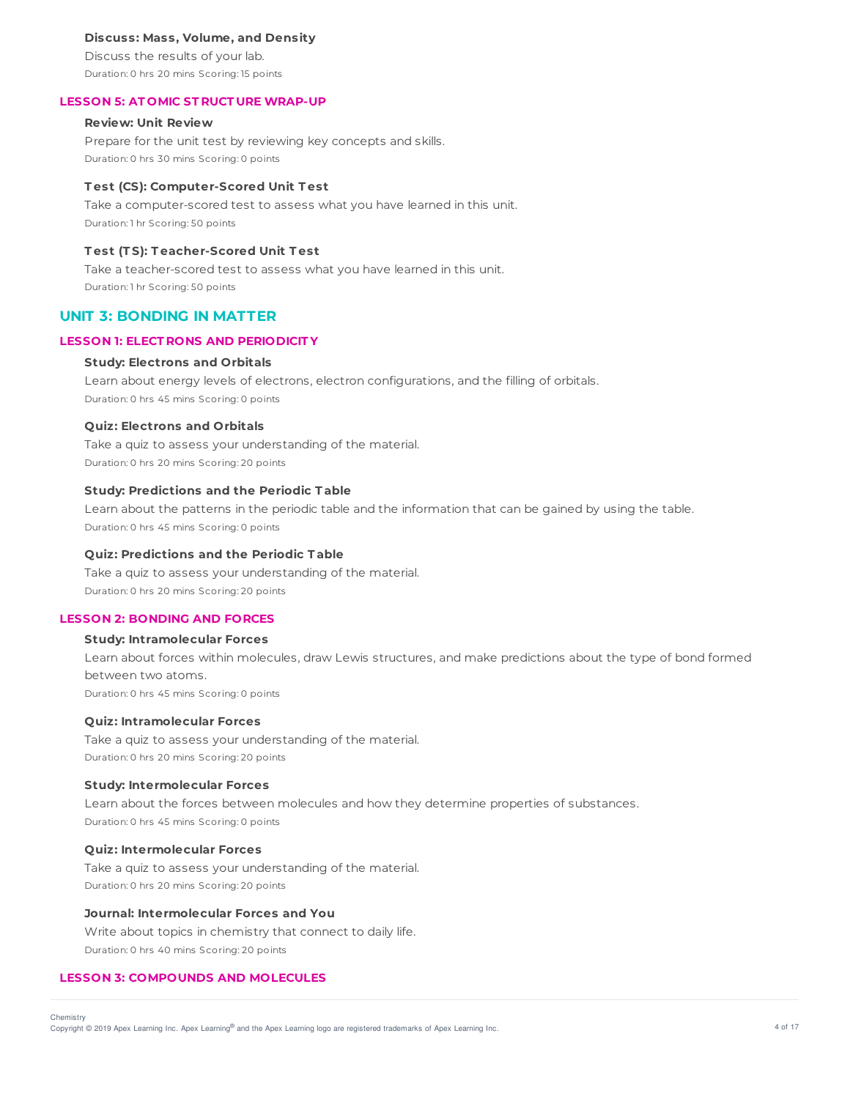## **Discuss: Mass, Volume, and Density**

Discuss the results of your lab. Duration: 0 hrs 20 mins Scoring: 15 points

#### **LESSON 5: AT OMIC ST RUCT URE WRAP-UP**

# **Review: Unit Review**

Prepare for the unit test by reviewing key concepts and skills. Duration: 0 hrs 30 mins Scoring: 0 points

#### **T est (CS): Computer-Scored Unit T est**

Take a computer-scored test to assess what you have learned in this unit. Duration: 1 hr Scoring: 50 points

# **T est (T S): T eacher-Scored Unit T est**

Take a teacher-scored test to assess what you have learned in this unit. Duration: 1 hr Scoring: 50 points

# **UNIT 3: BONDING IN MATTER**

## **LESSON 1: ELECT RONS AND PERIODICIT Y**

#### **Study: Electrons and Orbitals**

Learn about energy levels of electrons, electron configurations, and the filling of orbitals. Duration: 0 hrs 45 mins Scoring: 0 points

# **Quiz: Electrons and Orbitals**

Take a quiz to assess your understanding of the material. Duration: 0 hrs 20 mins Scoring: 20 points

## **Study: Predictions and the Periodic T able**

Learn about the patterns in the periodic table and the information that can be gained by using the table. Duration: 0 hrs 45 mins Scoring: 0 points

## **Quiz: Predictions and the Periodic T able**

Take a quiz to assess your understanding of the material. Duration: 0 hrs 20 mins Scoring: 20 points

# **LESSON 2: BONDING AND FORCES**

## **Study: Intramolecular Forces**

Learn about forces within molecules, draw Lewis structures, and make predictions about the type of bond formed between two atoms.

Duration: 0 hrs 45 mins Scoring: 0 points

#### **Quiz: Intramolecular Forces**

Take a quiz to assess your understanding of the material. Duration: 0 hrs 20 mins Scoring: 20 points

#### **Study: Intermolecular Forces**

Learn about the forces between molecules and how they determine properties of substances. Duration: 0 hrs 45 mins Scoring: 0 points

#### **Quiz: Intermolecular Forces**

Take a quiz to assess your understanding of the material. Duration: 0 hrs 20 mins Scoring: 20 points

# **Journal: Intermolecular Forces and You**

Write about topics in chemistry that connect to daily life. Duration: 0 hrs 40 mins Scoring: 20 points

## **LESSON 3: COMPOUNDS AND MOLECULES**

Copyright © 2019 Apex Learning Inc. Apex Learning® and the Apex Learning logo are registered trademarks of Apex Learning Inc. 4 of 17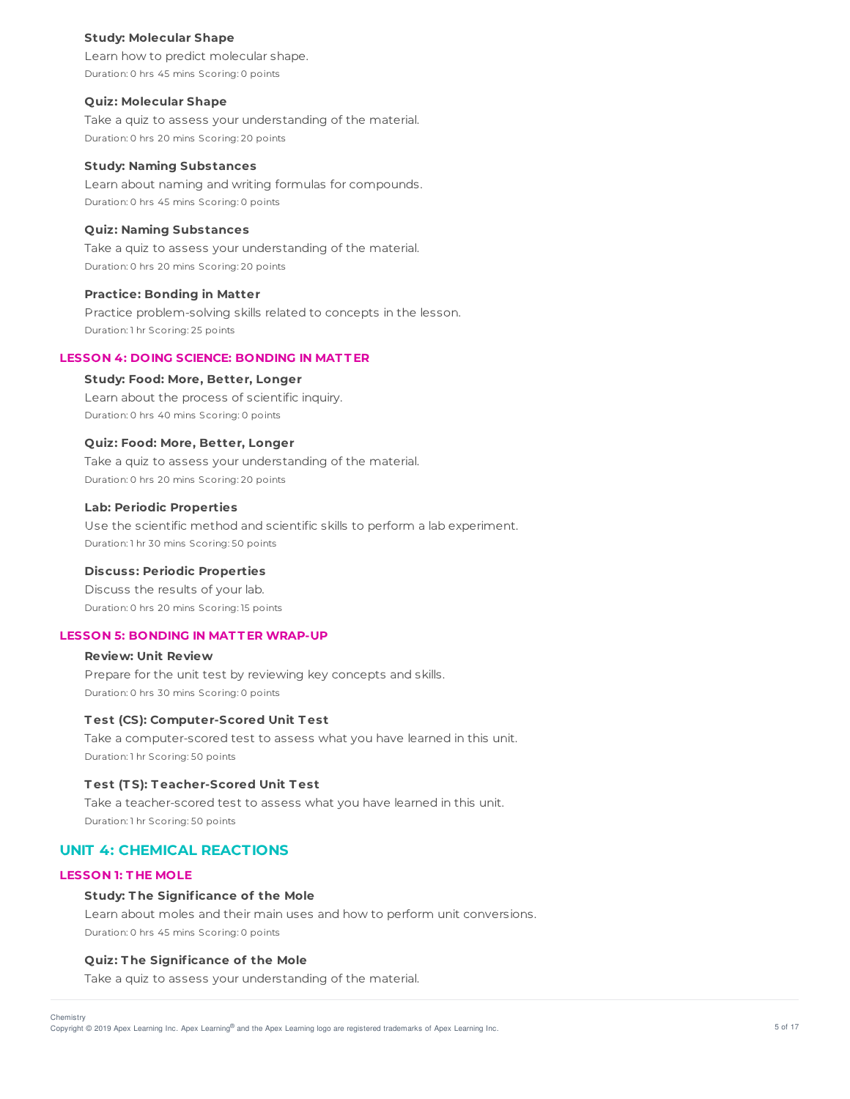#### **Study: Molecular Shape**

Learn how to predict molecular shape. Duration: 0 hrs 45 mins Scoring: 0 points

#### **Quiz: Molecular Shape**

Take a quiz to assess your understanding of the material. Duration: 0 hrs 20 mins Scoring: 20 points

## **Study: Naming Substances**

Learn about naming and writing formulas for compounds. Duration: 0 hrs 45 mins Scoring: 0 points

## **Quiz: Naming Substances**

Take a quiz to assess your understanding of the material. Duration: 0 hrs 20 mins Scoring: 20 points

#### **Practice: Bonding in Matter**

Practice problem-solving skills related to concepts in the lesson. Duration: 1 hr Scoring: 25 points

## **LESSON 4: DOING SCIENCE: BONDING IN MAT T ER**

# **Study: Food: More, Better, Longer**

Learn about the process of scientific inquiry. Duration: 0 hrs 40 mins Scoring: 0 points

## **Quiz: Food: More, Better, Longer**

Take a quiz to assess your understanding of the material. Duration: 0 hrs 20 mins Scoring: 20 points

## **Lab: Periodic Properties**

Use the scientific method and scientific skills to perform a lab experiment. Duration: 1 hr 30 mins Scoring: 50 points

## **Discuss: Periodic Properties**

Discuss the results of your lab. Duration: 0 hrs 20 mins Scoring: 15 points

#### **LESSON 5: BONDING IN MAT T ER WRAP-UP**

# **Review: Unit Review** Prepare for the unit test by reviewing key concepts and skills. Duration: 0 hrs 30 mins Scoring: 0 points

#### **T est (CS): Computer-Scored Unit T est**

Take a computer-scored test to assess what you have learned in this unit. Duration: 1 hr Scoring: 50 points

# **T est (T S): T eacher-Scored Unit T est**

Take a teacher-scored test to assess what you have learned in this unit. Duration: 1 hr Scoring: 50 points

# **UNIT 4: CHEMICAL REACTIONS**

## **LESSON 1: T HE MOLE**

#### **Study: T he Significance of the Mole**

Learn about moles and their main uses and how to perform unit conversions. Duration: 0 hrs 45 mins Scoring: 0 points

## **Quiz: T he Significance of the Mole**

Take a quiz to assess your understanding of the material.

Chemistry

Copyright © 2019 Apex Learning Inc. Apex Learning® and the Apex Learning logo are registered trademarks of Apex Learning Inc. **The Apparent Constant Constant Constant Constant Constant Constant Constant Constant Constant C**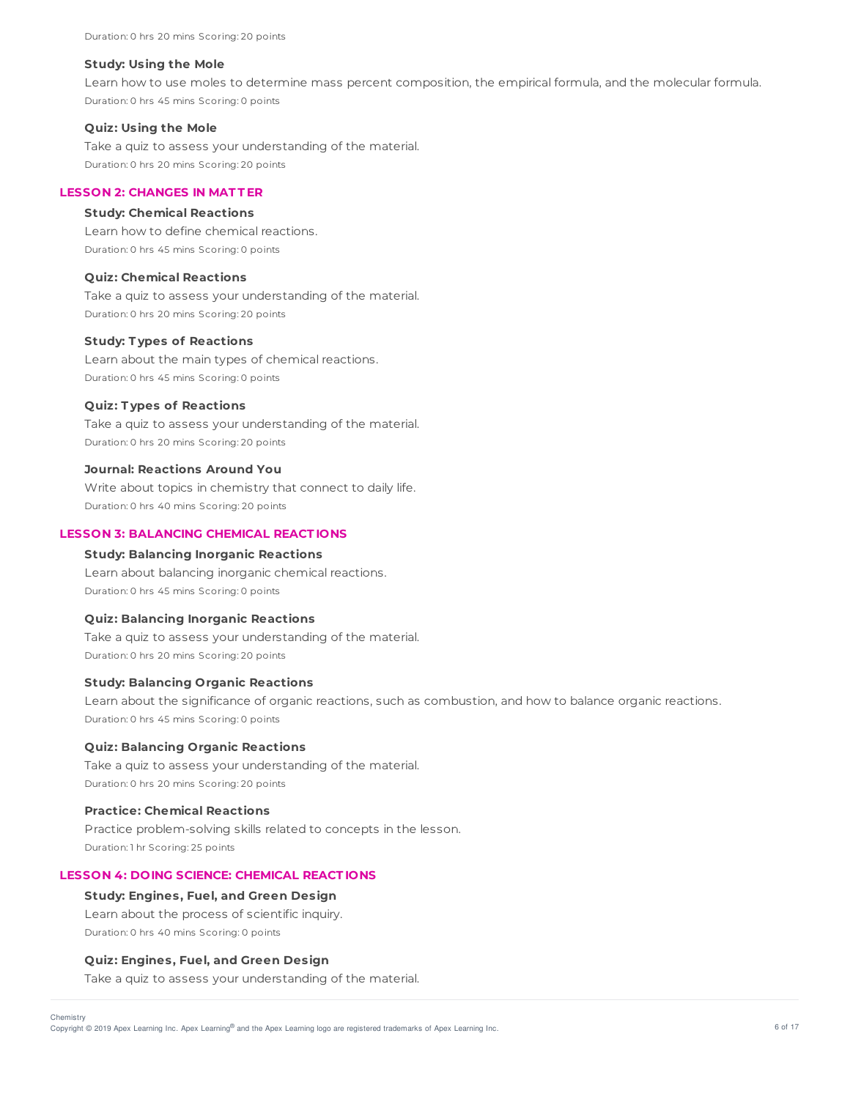#### **Study: Using the Mole**

Learn how to use moles to determine mass percent composition, the empirical formula, and the molecular formula. Duration: 0 hrs 45 mins Scoring: 0 points

#### **Quiz: Using the Mole**

Take a quiz to assess your understanding of the material. Duration: 0 hrs 20 mins Scoring: 20 points

# **LESSON 2: CHANGES IN MAT T ER**

#### **Study: Chemical Reactions**

Learn how to define chemical reactions. Duration: 0 hrs 45 mins Scoring: 0 points

#### **Quiz: Chemical Reactions**

Take a quiz to assess your understanding of the material. Duration: 0 hrs 20 mins Scoring: 20 points

#### **Study: T ypes of Reactions**

Learn about the main types of chemical reactions. Duration: 0 hrs 45 mins Scoring: 0 points

#### **Quiz: T ypes of Reactions**

Take a quiz to assess your understanding of the material. Duration: 0 hrs 20 mins Scoring: 20 points

## **Journal: Reactions Around You**

Write about topics in chemistry that connect to daily life. Duration: 0 hrs 40 mins Scoring: 20 points

# **LESSON 3: BALANCING CHEMICAL REACT IONS**

## **Study: Balancing Inorganic Reactions**

Learn about balancing inorganic chemical reactions. Duration: 0 hrs 45 mins Scoring: 0 points

## **Quiz: Balancing Inorganic Reactions**

Take a quiz to assess your understanding of the material. Duration: 0 hrs 20 mins Scoring: 20 points

## **Study: Balancing Organic Reactions**

Learn about the significance of organic reactions, such as combustion, and how to balance organic reactions. Duration: 0 hrs 45 mins Scoring: 0 points

## **Quiz: Balancing Organic Reactions**

Take a quiz to assess your understanding of the material. Duration: 0 hrs 20 mins Scoring: 20 points

#### **Practice: Chemical Reactions**

Practice problem-solving skills related to concepts in the lesson. Duration: 1 hr Scoring: 25 points

## **LESSON 4: DOING SCIENCE: CHEMICAL REACT IONS**

#### **Study: Engines, Fuel, and Green Design**

Learn about the process of scientific inquiry. Duration: 0 hrs 40 mins Scoring: 0 points

#### **Quiz: Engines, Fuel, and Green Design**

Take a quiz to assess your understanding of the material.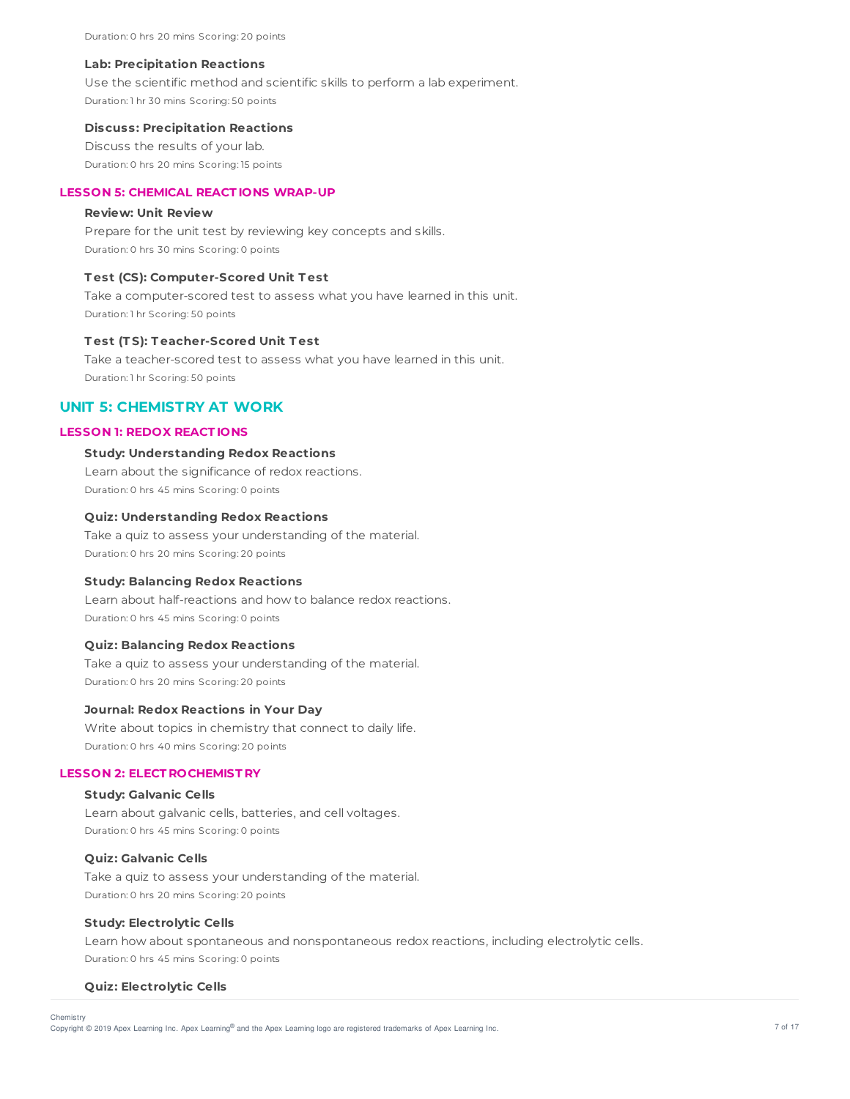Duration: 0 hrs 20 mins Scoring: 20 points

#### **Lab: Precipitation Reactions**

Use the scientific method and scientific skills to perform a lab experiment. Duration: 1 hr 30 mins Scoring: 50 points

#### **Discuss: Precipitation Reactions**

Discuss the results of your lab. Duration: 0 hrs 20 mins Scoring: 15 points

# **LESSON 5: CHEMICAL REACT IONS WRAP-UP**

## **Review: Unit Review**

Prepare for the unit test by reviewing key concepts and skills. Duration: 0 hrs 30 mins Scoring: 0 points

#### **T est (CS): Computer-Scored Unit T est**

Take a computer-scored test to assess what you have learned in this unit. Duration: 1 hr Scoring: 50 points

## **T est (T S): T eacher-Scored Unit T est**

Take a teacher-scored test to assess what you have learned in this unit. Duration: 1 hr Scoring: 50 points

# **UNIT 5: CHEMISTRY AT WORK**

#### **LESSON 1: REDOX REACT IONS**

## **Study: Understanding Redox Reactions**

Learn about the significance of redox reactions. Duration: 0 hrs 45 mins Scoring: 0 points

## **Quiz: Understanding Redox Reactions**

Take a quiz to assess your understanding of the material. Duration: 0 hrs 20 mins Scoring: 20 points

#### **Study: Balancing Redox Reactions**

Learn about half-reactions and how to balance redox reactions. Duration: 0 hrs 45 mins Scoring: 0 points

# **Quiz: Balancing Redox Reactions**

Take a quiz to assess your understanding of the material. Duration: 0 hrs 20 mins Scoring: 20 points

#### **Journal: Redox Reactions in Your Day**

Write about topics in chemistry that connect to daily life. Duration: 0 hrs 40 mins Scoring: 20 points

## **LESSON 2: ELECT ROCHEMIST RY**

# **Study: Galvanic Cells**

Learn about galvanic cells, batteries, and cell voltages. Duration: 0 hrs 45 mins Scoring: 0 points

# **Quiz: Galvanic Cells**

Take a quiz to assess your understanding of the material. Duration: 0 hrs 20 mins Scoring: 20 points

# **Study: Electrolytic Cells**

Learn how about spontaneous and nonspontaneous redox reactions, including electrolytic cells. Duration: 0 hrs 45 mins Scoring: 0 points

#### **Quiz: Electrolytic Cells**

Copyright © 2019 Apex Learning Inc. Apex Learning® and the Apex Learning logo are registered trademarks of Apex Learning Inc. <br>Copyright © 2019 Apex Learning Inc. Apex Learning® and the Apex Learning logo are registered tr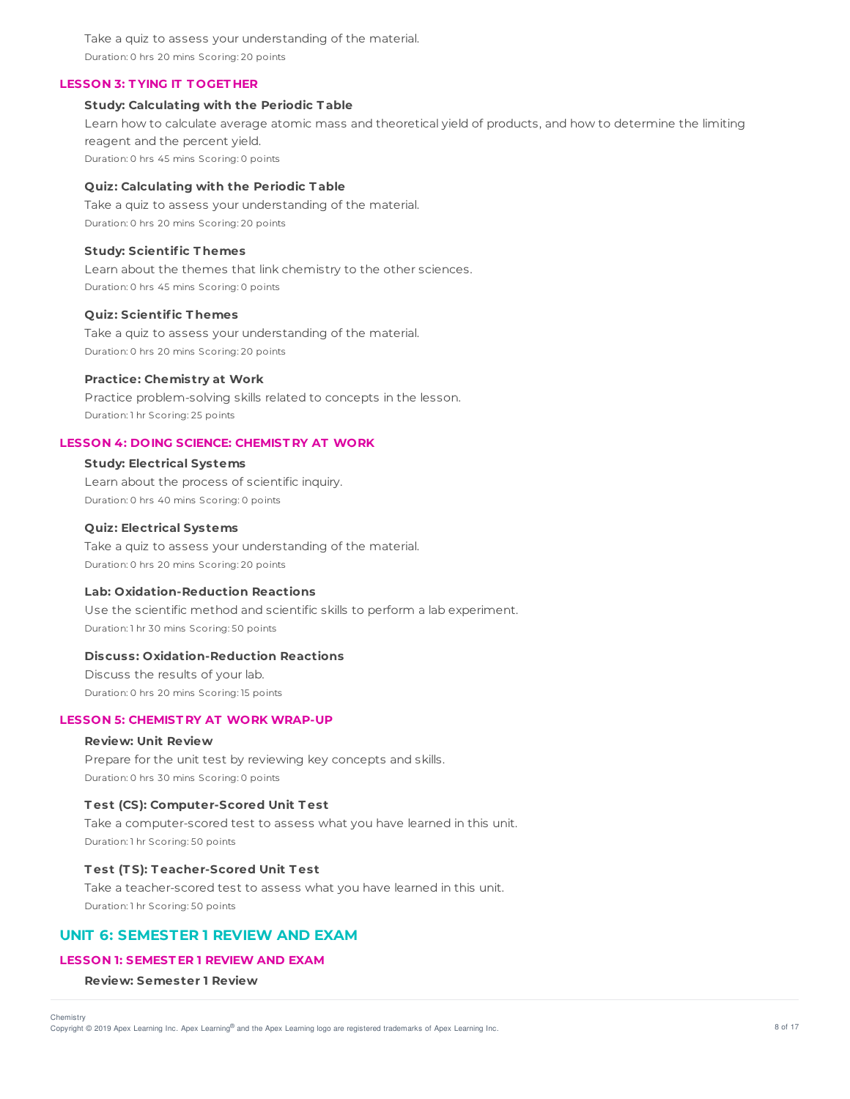Take a quiz to assess your understanding of the material. Duration: 0 hrs 20 mins Scoring: 20 points

## **LESSON 3: T YING IT T OGET HER**

#### **Study: Calculating with the Periodic T able**

Learn how to calculate average atomic mass and theoretical yield of products, and how to determine the limiting reagent and the percent yield. Duration: 0 hrs 45 mins Scoring: 0 points

#### **Quiz: Calculating with the Periodic T able**

Take a quiz to assess your understanding of the material. Duration: 0 hrs 20 mins Scoring: 20 points

## **Study: Scientific T hemes**

Learn about the themes that link chemistry to the other sciences. Duration: 0 hrs 45 mins Scoring: 0 points

## **Quiz: Scientific T hemes**

Take a quiz to assess your understanding of the material. Duration: 0 hrs 20 mins Scoring: 20 points

# **Practice: Chemistry at Work**

Practice problem-solving skills related to concepts in the lesson. Duration: 1 hr Scoring: 25 points

## **LESSON 4: DOING SCIENCE: CHEMIST RY AT WORK**

## **Study: Electrical Systems**

Learn about the process of scientific inquiry. Duration: 0 hrs 40 mins Scoring: 0 points

# **Quiz: Electrical Systems**

Take a quiz to assess your understanding of the material. Duration: 0 hrs 20 mins Scoring: 20 points

## **Lab: Oxidation-Reduction Reactions**

Use the scientific method and scientific skills to perform a lab experiment. Duration: 1 hr 30 mins Scoring: 50 points

# **Discuss: Oxidation-Reduction Reactions**

Discuss the results of your lab. Duration: 0 hrs 20 mins Scoring: 15 points

# **LESSON 5: CHEMIST RY AT WORK WRAP-UP**

# **Review: Unit Review**

Prepare for the unit test by reviewing key concepts and skills. Duration: 0 hrs 30 mins Scoring: 0 points

## **T est (CS): Computer-Scored Unit T est**

Take a computer-scored test to assess what you have learned in this unit. Duration: 1 hr Scoring: 50 points

#### **T est (T S): T eacher-Scored Unit T est**

Take a teacher-scored test to assess what you have learned in this unit. Duration: 1 hr Scoring: 50 points

# **UNIT 6: SEMESTER 1 REVIEW AND EXAM**

# **LESSON 1: SEMEST ER 1 REVIEW AND EXAM**

**Review: Semester 1 Review**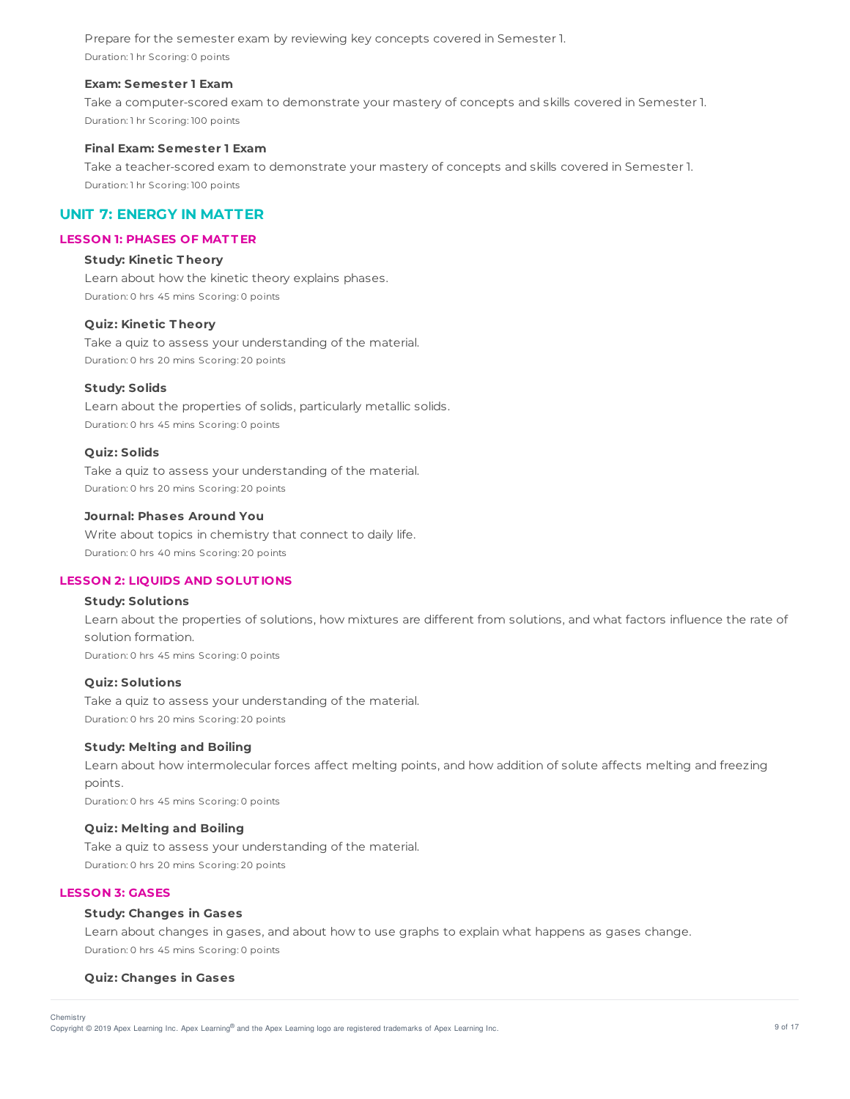Prepare for the semester exam by reviewing key concepts covered in Semester 1. Duration: 1 hr Scoring: 0 points

## **Exam: Semester 1 Exam**

Take a computer-scored exam to demonstrate your mastery of concepts and skills covered in Semester 1. Duration: 1 hr Scoring: 100 points

#### **Final Exam: Semester 1 Exam**

Take a teacher-scored exam to demonstrate your mastery of concepts and skills covered in Semester 1. Duration: 1 hr Scoring: 100 points

# **UNIT 7: ENERGY IN MATTER**

# **LESSON 1: PHASES OF MAT T ER**

# **Study: Kinetic T heory**

Learn about how the kinetic theory explains phases. Duration: 0 hrs 45 mins Scoring: 0 points

# **Quiz: Kinetic T heory**

Take a quiz to assess your understanding of the material. Duration: 0 hrs 20 mins Scoring: 20 points

#### **Study: Solids**

Learn about the properties of solids, particularly metallic solids. Duration: 0 hrs 45 mins Scoring: 0 points

#### **Quiz: Solids**

Take a quiz to assess your understanding of the material. Duration: 0 hrs 20 mins Scoring: 20 points

#### **Journal: Phases Around You**

Write about topics in chemistry that connect to daily life. Duration: 0 hrs 40 mins Scoring: 20 points

# **LESSON 2: LIQUIDS AND SOLUT IONS**

## **Study: Solutions**

Learn about the properties of solutions, how mixtures are different from solutions, and what factors influence the rate of solution formation. Duration: 0 hrs 45 mins Scoring: 0 points

#### **Quiz: Solutions**

Take a quiz to assess your understanding of the material. Duration: 0 hrs 20 mins Scoring: 20 points

#### **Study: Melting and Boiling**

Learn about how intermolecular forces affect melting points, and how addition of solute affects melting and freezing points. Duration: 0 hrs 45 mins Scoring: 0 points

#### **Quiz: Melting and Boiling**

Take a quiz to assess your understanding of the material. Duration: 0 hrs 20 mins Scoring: 20 points

# **LESSON 3: GASES**

**Chemistry** 

# **Study: Changes in Gases**

Learn about changes in gases, and about how to use graphs to explain what happens as gases change. Duration: 0 hrs 45 mins Scoring: 0 points

#### **Quiz: Changes in Gases**

Copyright © 2019 Apex Learning Inc. Apex Learning® and the Apex Learning logo are registered trademarks of Apex Learning Inc. <br>Copyright © 2019 Apex Learning Inc. Apex Learning® and the Apex Learning Iogo are registered tr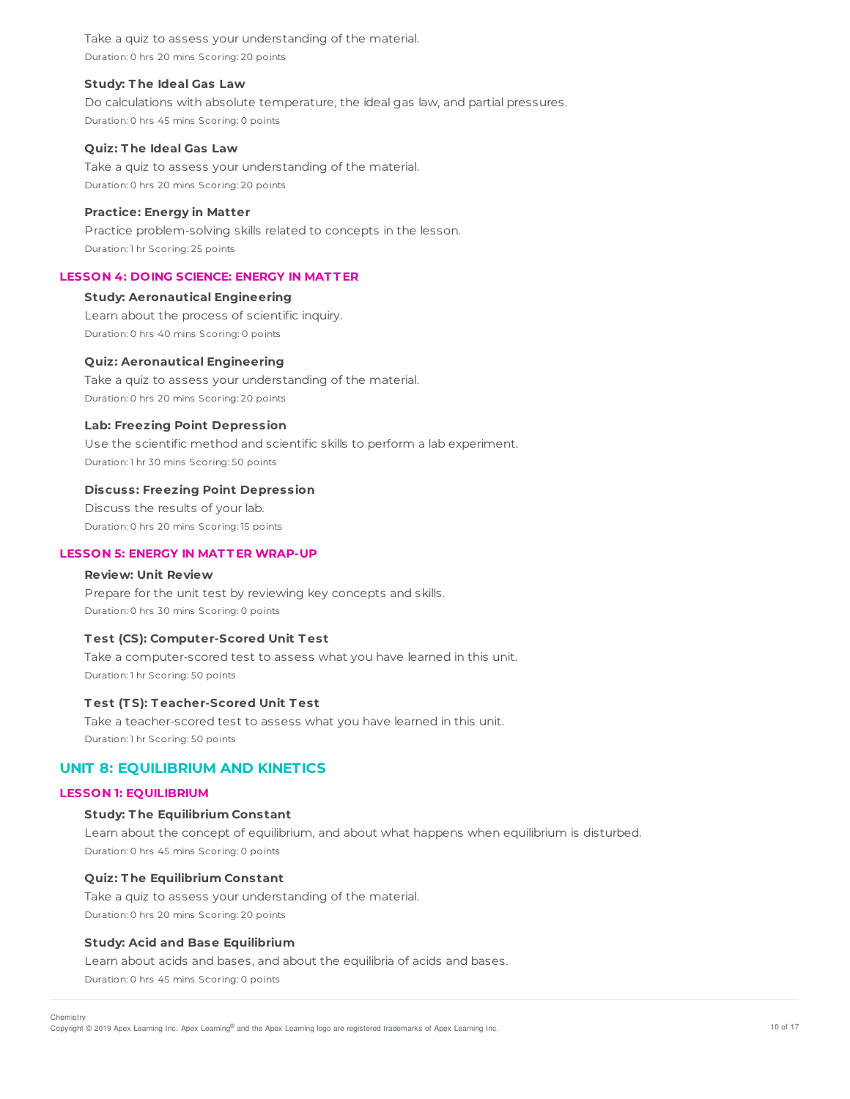Take a quiz to assess your understanding of the material. Duration: 0 hrs 20 mins Scoring: 20 points

## **Study: T he Ideal Gas Law**

Do calculations with absolute temperature, the ideal gas law, and partial pressures. Duration: 0 hrs 45 mins Scoring: 0 points

#### **Quiz: T he Ideal Gas Law**

Take a quiz to assess your understanding of the material. Duration: 0 hrs 20 mins Scoring: 20 points

## **Practice: Energy in Matter**

Practice problem-solving skills related to concepts in the lesson. Duration: 1 hr Scoring: 25 points

# **LESSON 4: DOING SCIENCE: ENERGY IN MAT T ER**

# **Study: Aeronautical Engineering**

Learn about the process of scientific inquiry. Duration: 0 hrs 40 mins Scoring: 0 points

## **Quiz: Aeronautical Engineering**

Take a quiz to assess your understanding of the material. Duration: 0 hrs 20 mins Scoring: 20 points

## **Lab: Freezing Point Depression**

Use the scientific method and scientific skills to perform a lab experiment. Duration: 1 hr 30 mins Scoring: 50 points

#### **Discuss: Freezing Point Depression**

Discuss the results of your lab. Duration: 0 hrs 20 mins Scoring: 15 points

# **LESSON 5: ENERGY IN MAT T ER WRAP-UP**

## **Review: Unit Review**

Prepare for the unit test by reviewing key concepts and skills. Duration: 0 hrs 30 mins Scoring: 0 points

## **T est (CS): Computer-Scored Unit T est**

Take a computer-scored test to assess what you have learned in this unit. Duration: 1 hr Scoring: 50 points

## **T est (T S): T eacher-Scored Unit T est**

Take a teacher-scored test to assess what you have learned in this unit. Duration: 1 hr Scoring: 50 points

# **UNIT 8: EQUILIBRIUM AND KINETICS**

## **LESSON 1: EQUILIBRIUM**

Chemistry

#### **Study: T he Equilibrium Constant**

Learn about the concept of equilibrium, and about what happens when equilibrium is disturbed. Duration: 0 hrs 45 mins Scoring: 0 points

## **Quiz: T he Equilibrium Constant**

Take a quiz to assess your understanding of the material. Duration: 0 hrs 20 mins Scoring: 20 points

## **Study: Acid and Base Equilibrium**

Learn about acids and bases, and about the equilibria of acids and bases.

Duration: 0 hrs 45 mins Scoring: 0 points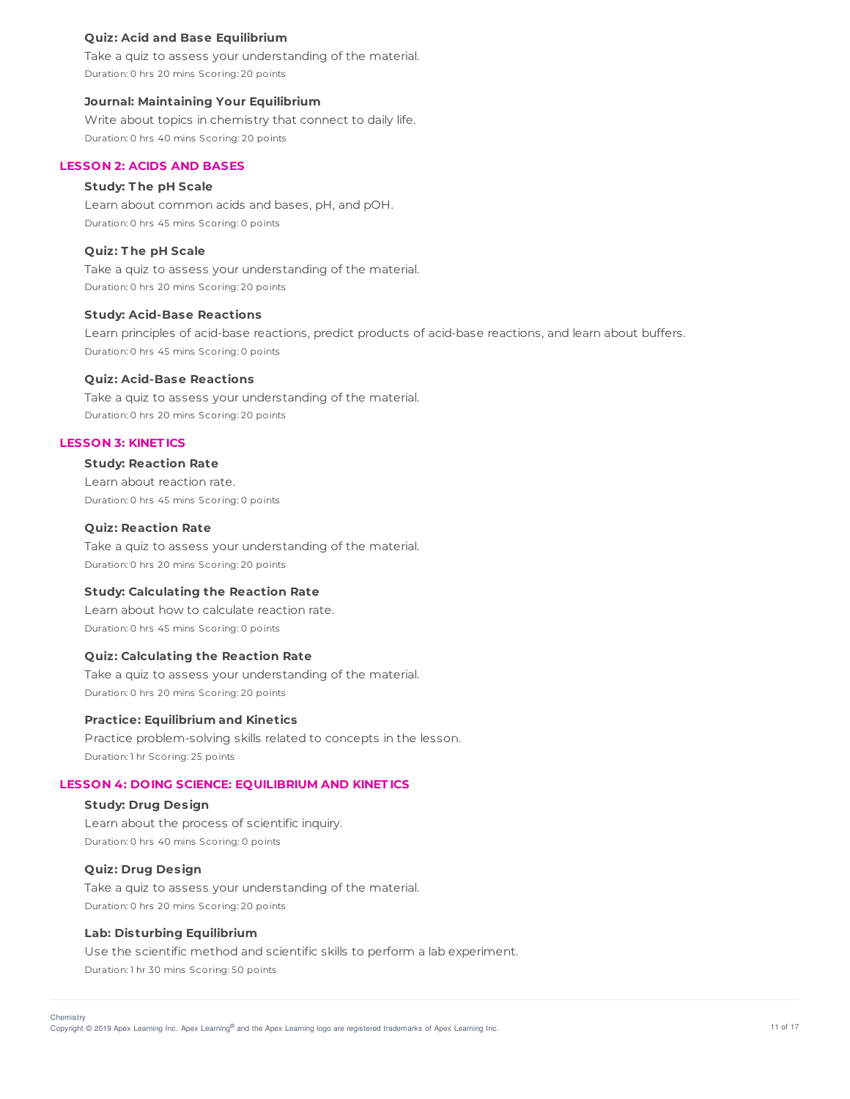# **Quiz: Acid and Base Equilibrium**

Take a quiz to assess your understanding of the material. Duration: 0 hrs 20 mins Scoring: 20 points

#### **Journal: Maintaining Your Equilibrium**

Write about topics in chemistry that connect to daily life. Duration: 0 hrs 40 mins Scoring: 20 points

## **LESSON 2: ACIDS AND BASES**

# **Study: T he pH Scale**

Learn about common acids and bases, pH, and pOH. Duration: 0 hrs 45 mins Scoring: 0 points

# **Quiz: T he pH Scale**

Take a quiz to assess your understanding of the material. Duration: 0 hrs 20 mins Scoring: 20 points

#### **Study: Acid-Base Reactions**

Learn principles of acid-base reactions, predict products of acid-base reactions, and learn about buffers. Duration: 0 hrs 45 mins Scoring: 0 points

#### **Quiz: Acid-Base Reactions**

Take a quiz to assess your understanding of the material. Duration: 0 hrs 20 mins Scoring: 20 points

# **LESSON 3: KINET ICS**

# **Study: Reaction Rate**

Learn about reaction rate. Duration: 0 hrs 45 mins Scoring: 0 points

# **Quiz: Reaction Rate**

Take a quiz to assess your understanding of the material. Duration: 0 hrs 20 mins Scoring: 20 points

#### **Study: Calculating the Reaction Rate**

Learn about how to calculate reaction rate. Duration: 0 hrs 45 mins Scoring: 0 points

# **Quiz: Calculating the Reaction Rate**

Take a quiz to assess your understanding of the material. Duration: 0 hrs 20 mins Scoring: 20 points

#### **Practice: Equilibrium and Kinetics**

Practice problem-solving skills related to concepts in the lesson. Duration: 1 hr Scoring: 25 points

### **LESSON 4: DOING SCIENCE: EQUILIBRIUM AND KINET ICS**

#### **Study: Drug Design**

Learn about the process of scientific inquiry. Duration: 0 hrs 40 mins Scoring: 0 points

# **Quiz: Drug Design**

Take a quiz to assess your understanding of the material. Duration: 0 hrs 20 mins Scoring: 20 points

#### **Lab: Disturbing Equilibrium**

Use the scientific method and scientific skills to perform a lab experiment. Duration: 1 hr 30 mins Scoring: 50 points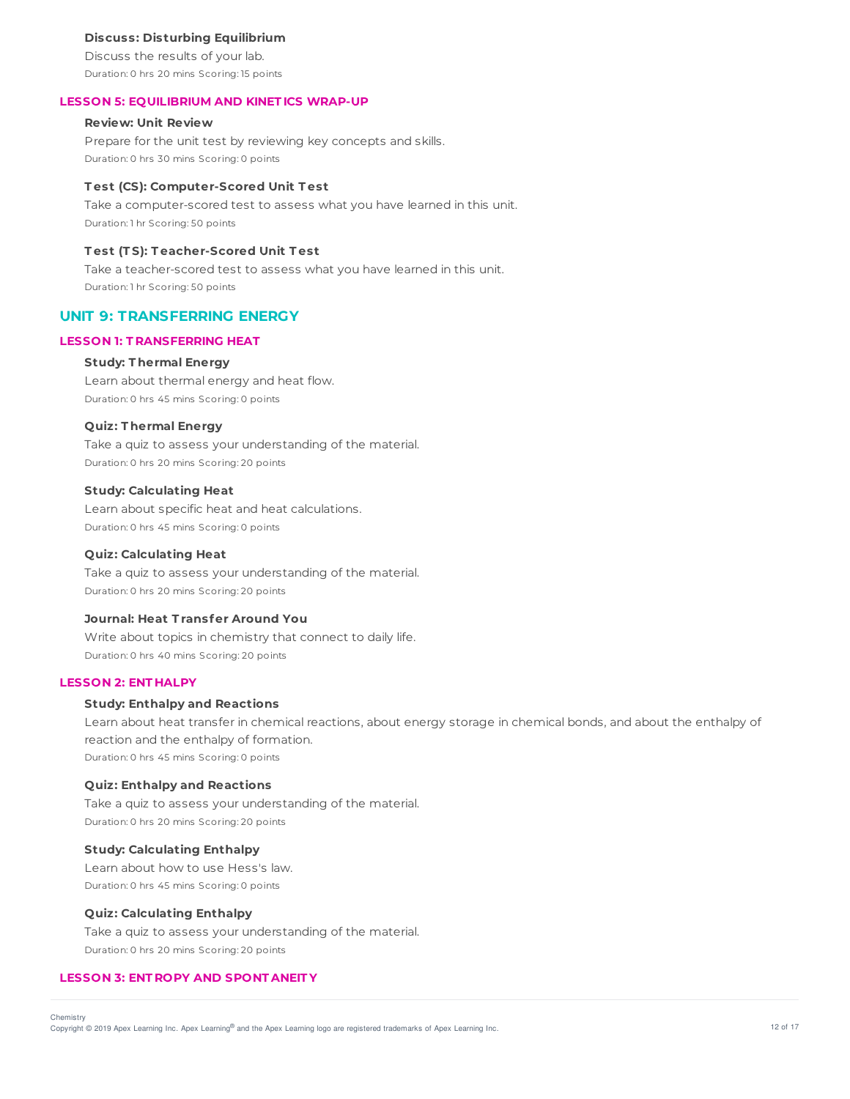### **Discuss: Disturbing Equilibrium**

Discuss the results of your lab. Duration: 0 hrs 20 mins Scoring: 15 points

#### **LESSON 5: EQUILIBRIUM AND KINET ICS WRAP-UP**

# **Review: Unit Review**

Prepare for the unit test by reviewing key concepts and skills. Duration: 0 hrs 30 mins Scoring: 0 points

#### **T est (CS): Computer-Scored Unit T est**

Take a computer-scored test to assess what you have learned in this unit. Duration: 1 hr Scoring: 50 points

# **T est (T S): T eacher-Scored Unit T est**

Take a teacher-scored test to assess what you have learned in this unit. Duration: 1 hr Scoring: 50 points

# **UNIT 9: TRANSFERRING ENERGY**

#### **LESSON 1: T RANSFERRING HEAT**

#### **Study: T hermal Energy**

Learn about thermal energy and heat flow. Duration: 0 hrs 45 mins Scoring: 0 points

## **Quiz: T hermal Energy**

Take a quiz to assess your understanding of the material. Duration: 0 hrs 20 mins Scoring: 20 points

#### **Study: Calculating Heat**

Learn about specific heat and heat calculations. Duration: 0 hrs 45 mins Scoring: 0 points

## **Quiz: Calculating Heat**

Take a quiz to assess your understanding of the material. Duration: 0 hrs 20 mins Scoring: 20 points

#### **Journal: Heat T ransfer Around You**

Write about topics in chemistry that connect to daily life. Duration: 0 hrs 40 mins Scoring: 20 points

# **LESSON 2: ENT HALPY**

## **Study: Enthalpy and Reactions**

Learn about heat transfer in chemical reactions, about energy storage in chemical bonds, and about the enthalpy of reaction and the enthalpy of formation. Duration: 0 hrs 45 mins Scoring: 0 points

## **Quiz: Enthalpy and Reactions**

Take a quiz to assess your understanding of the material. Duration: 0 hrs 20 mins Scoring: 20 points

#### **Study: Calculating Enthalpy**

Learn about how to use Hess's law. Duration: 0 hrs 45 mins Scoring: 0 points

#### **Quiz: Calculating Enthalpy**

Take a quiz to assess your understanding of the material. Duration: 0 hrs 20 mins Scoring: 20 points

# **LESSON 3: ENT ROPY AND SPONT ANEIT Y**

Copyright © 2019 Apex Learning Inc. Apex Learning® and the Apex Learning logo are registered trademarks of Apex Learning Inc. 412 of 17 and the Apex Learning Inc.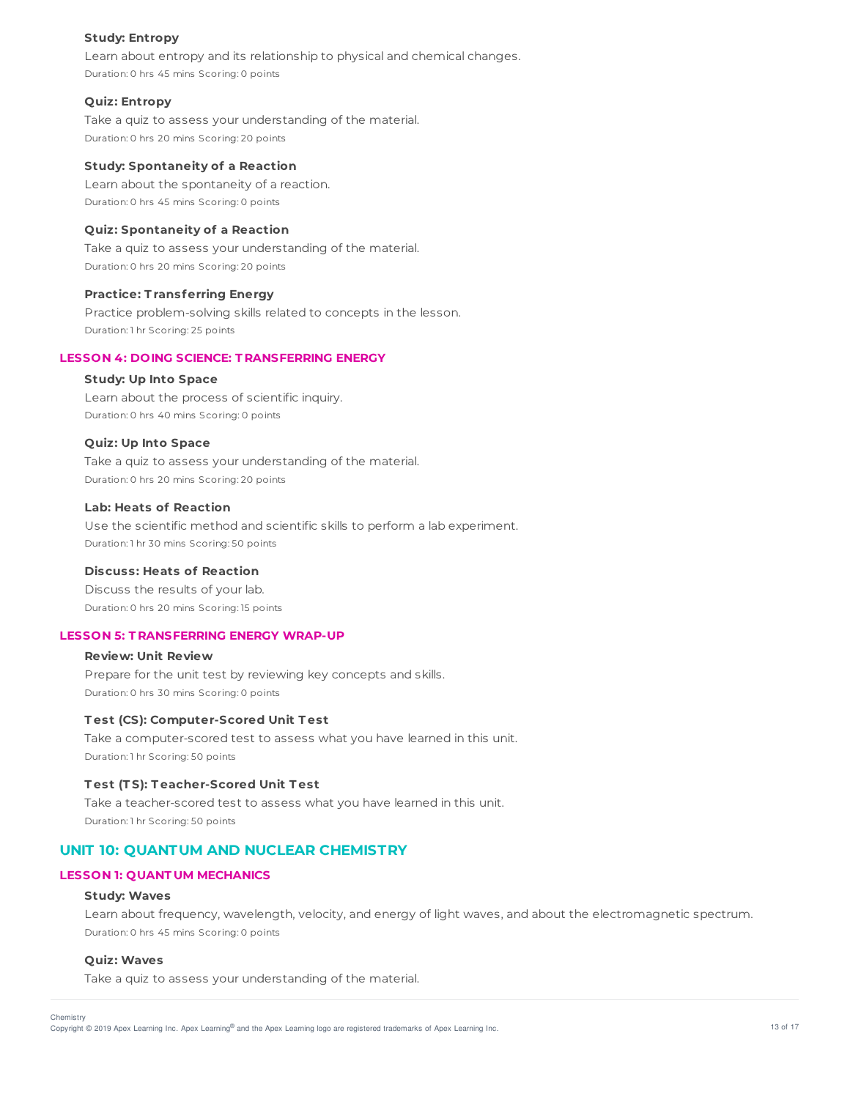## **Study: Entropy**

Learn about entropy and its relationship to physical and chemical changes. Duration: 0 hrs 45 mins Scoring: 0 points

## **Quiz: Entropy**

Take a quiz to assess your understanding of the material. Duration: 0 hrs 20 mins Scoring: 20 points

## **Study: Spontaneity of a Reaction**

Learn about the spontaneity of a reaction. Duration: 0 hrs 45 mins Scoring: 0 points

# **Quiz: Spontaneity of a Reaction**

Take a quiz to assess your understanding of the material. Duration: 0 hrs 20 mins Scoring: 20 points

#### **Practice: T ransferring Energy**

Practice problem-solving skills related to concepts in the lesson. Duration: 1 hr Scoring: 25 points

# **LESSON 4: DOING SCIENCE: T RANSFERRING ENERGY**

# **Study: Up Into Space**

Learn about the process of scientific inquiry. Duration: 0 hrs 40 mins Scoring: 0 points

# **Quiz: Up Into Space**

Take a quiz to assess your understanding of the material. Duration: 0 hrs 20 mins Scoring: 20 points

# **Lab: Heats of Reaction**

Use the scientific method and scientific skills to perform a lab experiment. Duration: 1 hr 30 mins Scoring: 50 points

## **Discuss: Heats of Reaction**

Discuss the results of your lab. Duration: 0 hrs 20 mins Scoring: 15 points

# **LESSON 5: T RANSFERRING ENERGY WRAP-UP**

# **Review: Unit Review** Prepare for the unit test by reviewing key concepts and skills. Duration: 0 hrs 30 mins Scoring: 0 points

#### **T est (CS): Computer-Scored Unit T est**

Take a computer-scored test to assess what you have learned in this unit. Duration: 1 hr Scoring: 50 points

# **T est (T S): T eacher-Scored Unit T est**

Take a teacher-scored test to assess what you have learned in this unit. Duration: 1 hr Scoring: 50 points

# **UNIT 10: QUANTUM AND NUCLEAR CHEMISTRY**

## **LESSON 1: QUANT UM MECHANICS**

#### **Study: Waves**

Learn about frequency, wavelength, velocity, and energy of light waves, and about the electromagnetic spectrum. Duration: 0 hrs 45 mins Scoring: 0 points

# **Quiz: Waves**

Take a quiz to assess your understanding of the material.

Copyright © 2019 Apex Learning Inc. Apex Learning® and the Apex Learning logo are registered trademarks of Apex Learning Inc. <br>Copyright © 2019 Apex Learning Inc. Apex Learning® and the Apex Learning Iogo are registered tr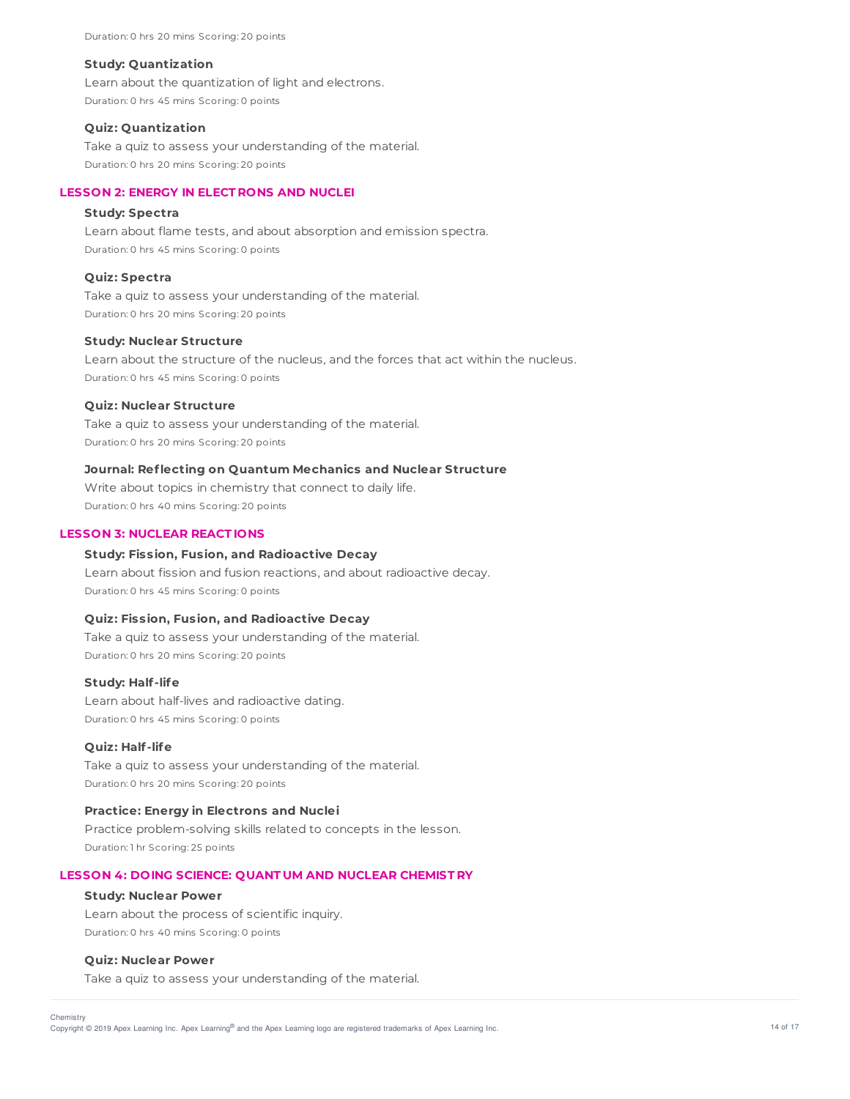Duration: 0 hrs 20 mins Scoring: 20 points

#### **Study: Quantization**

Learn about the quantization of light and electrons. Duration: 0 hrs 45 mins Scoring: 0 points

## **Quiz: Quantization**

Take a quiz to assess your understanding of the material. Duration: 0 hrs 20 mins Scoring: 20 points

# **LESSON 2: ENERGY IN ELECT RONS AND NUCLEI**

#### **Study: Spectra**

Learn about flame tests, and about absorption and emission spectra. Duration: 0 hrs 45 mins Scoring: 0 points

#### **Quiz: Spectra**

Take a quiz to assess your understanding of the material. Duration: 0 hrs 20 mins Scoring: 20 points

## **Study: Nuclear Structure**

Learn about the structure of the nucleus, and the forces that act within the nucleus. Duration: 0 hrs 45 mins Scoring: 0 points

#### **Quiz: Nuclear Structure**

Take a quiz to assess your understanding of the material. Duration: 0 hrs 20 mins Scoring: 20 points

## **Journal: Reflecting on Quantum Mechanics and Nuclear Structure**

Write about topics in chemistry that connect to daily life. Duration: 0 hrs 40 mins Scoring: 20 points

## **LESSON 3: NUCLEAR REACT IONS**

## **Study: Fission, Fusion, and Radioactive Decay**

Learn about fission and fusion reactions, and about radioactive decay. Duration: 0 hrs 45 mins Scoring: 0 points

# **Quiz: Fission, Fusion, and Radioactive Decay**

Take a quiz to assess your understanding of the material. Duration: 0 hrs 20 mins Scoring: 20 points

#### **Study: Half-life**

Learn about half-lives and radioactive dating. Duration: 0 hrs 45 mins Scoring: 0 points

#### **Quiz: Half-life**

Take a quiz to assess your understanding of the material. Duration: 0 hrs 20 mins Scoring: 20 points

# **Practice: Energy in Electrons and Nuclei**

Practice problem-solving skills related to concepts in the lesson. Duration: 1 hr Scoring: 25 points

#### **LESSON 4: DOING SCIENCE: QUANT UM AND NUCLEAR CHEMIST RY**

#### **Study: Nuclear Power**

Learn about the process of scientific inquiry. Duration: 0 hrs 40 mins Scoring: 0 points

## **Quiz: Nuclear Power**

Take a quiz to assess your understanding of the material.

**Chemistry** 

Copyright © 2019 Apex Learning Inc. Apex Learning® and the Apex Learning logo are registered trademarks of Apex Learning Inc. 4 of the Apex Learning Inc.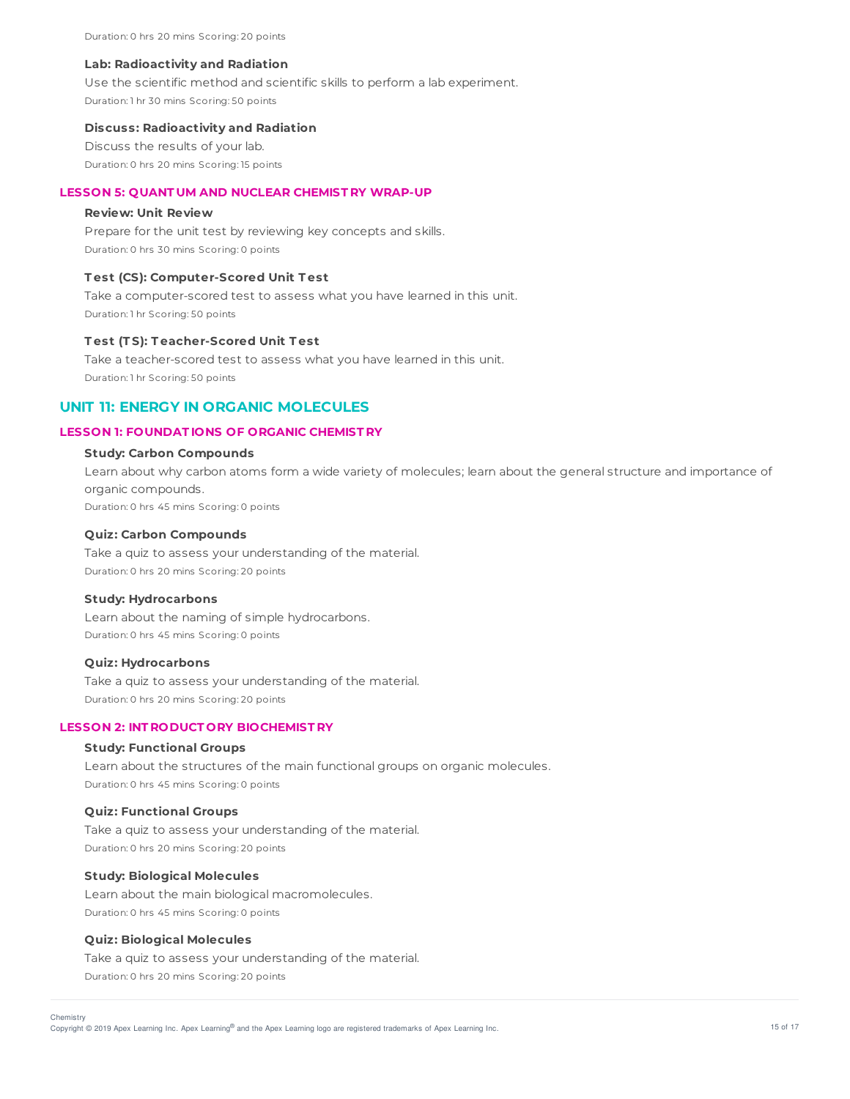Duration: 0 hrs 20 mins Scoring: 20 points

#### **Lab: Radioactivity and Radiation**

Use the scientific method and scientific skills to perform a lab experiment. Duration: 1 hr 30 mins Scoring: 50 points

#### **Discuss: Radioactivity and Radiation**

Discuss the results of your lab. Duration: 0 hrs 20 mins Scoring: 15 points

# **LESSON 5: QUANT UM AND NUCLEAR CHEMIST RY WRAP-UP**

## **Review: Unit Review**

Prepare for the unit test by reviewing key concepts and skills. Duration: 0 hrs 30 mins Scoring: 0 points

#### **T est (CS): Computer-Scored Unit T est**

Take a computer-scored test to assess what you have learned in this unit. Duration: 1 hr Scoring: 50 points

## **T est (T S): T eacher-Scored Unit T est**

Take a teacher-scored test to assess what you have learned in this unit. Duration: 1 hr Scoring: 50 points

# **UNIT 11: ENERGY IN ORGANIC MOLECULES**

## **LESSON 1: FOUNDAT IONS OF ORGANIC CHEMIST RY**

# **Study: Carbon Compounds**

Learn about why carbon atoms form a wide variety of molecules; learn about the general structure and importance of organic compounds. Duration: 0 hrs 45 mins Scoring: 0 points

# **Quiz: Carbon Compounds**

Take a quiz to assess your understanding of the material. Duration: 0 hrs 20 mins Scoring: 20 points

# **Study: Hydrocarbons**

Learn about the naming of simple hydrocarbons. Duration: 0 hrs 45 mins Scoring: 0 points

#### **Quiz: Hydrocarbons**

Take a quiz to assess your understanding of the material. Duration: 0 hrs 20 mins Scoring: 20 points

#### **LESSON 2: INT RODUCT ORY BIOCHEMIST RY**

#### **Study: Functional Groups**

Learn about the structures of the main functional groups on organic molecules. Duration: 0 hrs 45 mins Scoring: 0 points

#### **Quiz: Functional Groups**

Take a quiz to assess your understanding of the material. Duration: 0 hrs 20 mins Scoring: 20 points

## **Study: Biological Molecules**

Learn about the main biological macromolecules. Duration: 0 hrs 45 mins Scoring: 0 points

## **Quiz: Biological Molecules**

Take a quiz to assess your understanding of the material. Duration: 0 hrs 20 mins Scoring: 20 points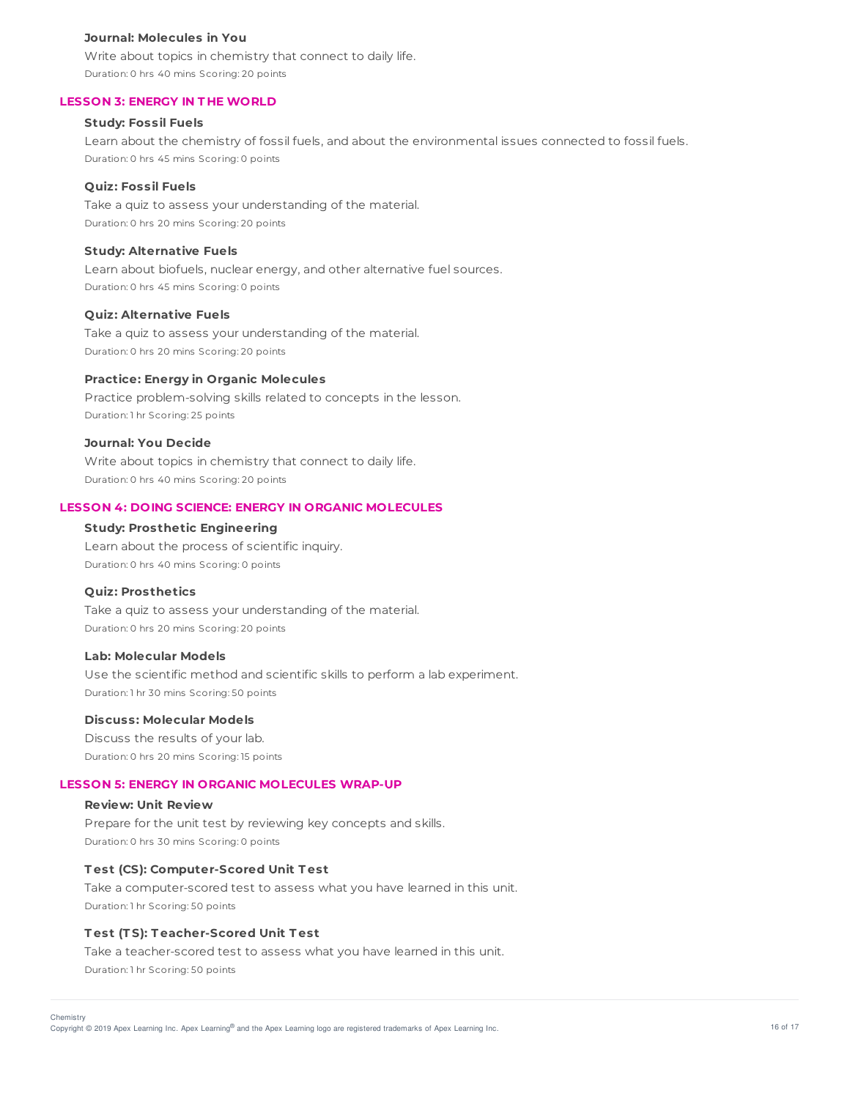#### **Journal: Molecules in You**

Write about topics in chemistry that connect to daily life. Duration: 0 hrs 40 mins Scoring: 20 points

## **LESSON 3: ENERGY IN T HE WORLD**

# **Study: Fossil Fuels**

Learn about the chemistry of fossil fuels, and about the environmental issues connected to fossil fuels. Duration: 0 hrs 45 mins Scoring: 0 points

#### **Quiz: Fossil Fuels**

Take a quiz to assess your understanding of the material. Duration: 0 hrs 20 mins Scoring: 20 points

# **Study: Alternative Fuels**

Learn about biofuels, nuclear energy, and other alternative fuel sources. Duration: 0 hrs 45 mins Scoring: 0 points

#### **Quiz: Alternative Fuels**

Take a quiz to assess your understanding of the material. Duration: 0 hrs 20 mins Scoring: 20 points

# **Practice: Energy in Organic Molecules**

Practice problem-solving skills related to concepts in the lesson. Duration: 1 hr Scoring: 25 points

#### **Journal: You Decide**

Write about topics in chemistry that connect to daily life. Duration: 0 hrs 40 mins Scoring: 20 points

# **LESSON 4: DOING SCIENCE: ENERGY IN ORGANIC MOLECULES**

## **Study: Prosthetic Engineering**

Learn about the process of scientific inquiry. Duration: 0 hrs 40 mins Scoring: 0 points

#### **Quiz: Prosthetics**

Take a quiz to assess your understanding of the material. Duration: 0 hrs 20 mins Scoring: 20 points

# **Lab: Molecular Models**

Use the scientific method and scientific skills to perform a lab experiment. Duration: 1 hr 30 mins Scoring: 50 points

#### **Discuss: Molecular Models**

Discuss the results of your lab. Duration: 0 hrs 20 mins Scoring: 15 points

#### **LESSON 5: ENERGY IN ORGANIC MOLECULES WRAP-UP**

#### **Review: Unit Review**

Prepare for the unit test by reviewing key concepts and skills. Duration: 0 hrs 30 mins Scoring: 0 points

#### **T est (CS): Computer-Scored Unit T est**

Take a computer-scored test to assess what you have learned in this unit. Duration: 1 hr Scoring: 50 points

#### **T est (T S): T eacher-Scored Unit T est**

Take a teacher-scored test to assess what you have learned in this unit. Duration: 1 hr Scoring: 50 points